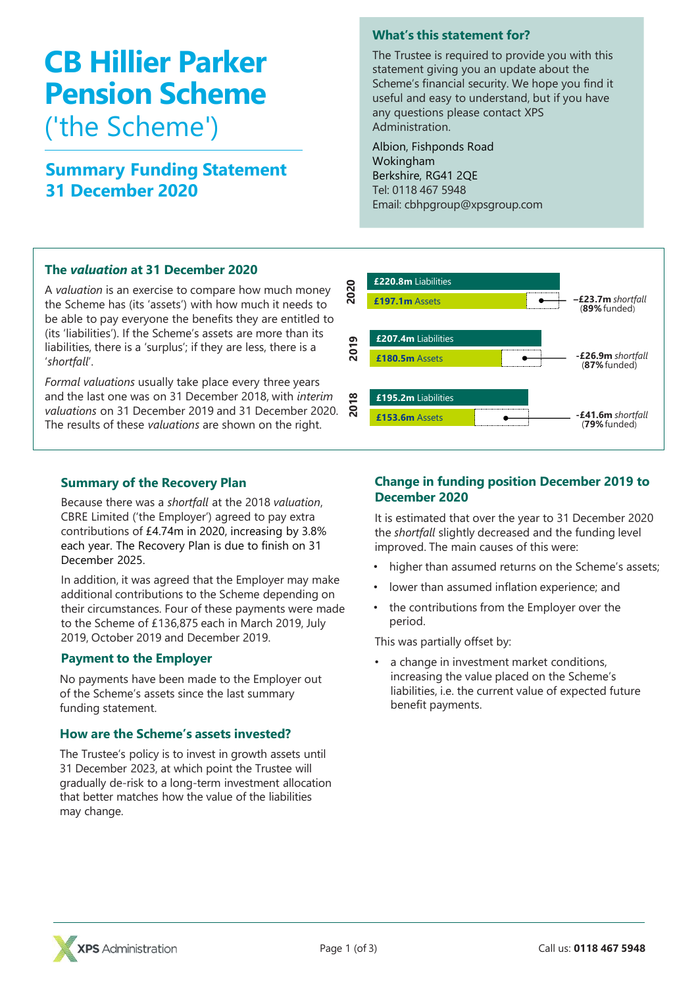# **CB Hillier Parker Pension Scheme** ('the Scheme')

# **Summary Funding Statement 31 December 2020**

# **The** *valuation* **at 31 December 2020**

A *valuation* is an exercise to compare how much money the Scheme has (its 'assets') with how much it needs to be able to pay everyone the benefits they are entitled to (its 'liabilities'). If the Scheme's assets are more than its liabilities, there is a 'surplus'; if they are less, there is a '*shortfall*'.

*Formal valuations* usually take place every three years and the last one was on 31 December 2018, with *interim valuations* on 31 December 2019 and 31 December 2020. The results of these *valuations* are shown on the right.

## **Summary of the Recovery Plan**

Because there was a *shortfall* at the 2018 *valuation*, CBRE Limited ('the Employer') agreed to pay extra contributions of £4.74m in 2020, increasing by 3.8% each year. The Recovery Plan is due to finish on 31 December 2025.

In addition, it was agreed that the Employer may make additional contributions to the Scheme depending on their circumstances. Four of these payments were made to the Scheme of £136,875 each in March 2019, July 2019, October 2019 and December 2019.

### **Payment to the Employer**

No payments have been made to the Employer out of the Scheme's assets since the last summary funding statement.

### **How are the Scheme's assets invested?**

The Trustee's policy is to invest in growth assets until 31 December 2023, at which point the Trustee will gradually de-risk to a long-term investment allocation that better matches how the value of the liabilities may change.

# **What's this statement for?**

The Trustee is required to provide you with this statement giving you an update about the Scheme's financial security. We hope you find it useful and easy to understand, but if you have any questions please contact XPS Administration.

Albion, Fishponds Road Wokingham Berkshire, RG41 2QE Tel: 0118 467 5948 Email: cbhpgroup@xpsgroup.com



# **Change in funding position December 2019 to December 2020**

It is estimated that over the year to 31 December 2020 the *shortfall* slightly decreased and the funding level improved. The main causes of this were:

- higher than assumed returns on the Scheme's assets;
- lower than assumed inflation experience; and
- the contributions from the Employer over the period.

This was partially offset by:

a change in investment market conditions, increasing the value placed on the Scheme's liabilities, i.e. the current value of expected future benefit payments.

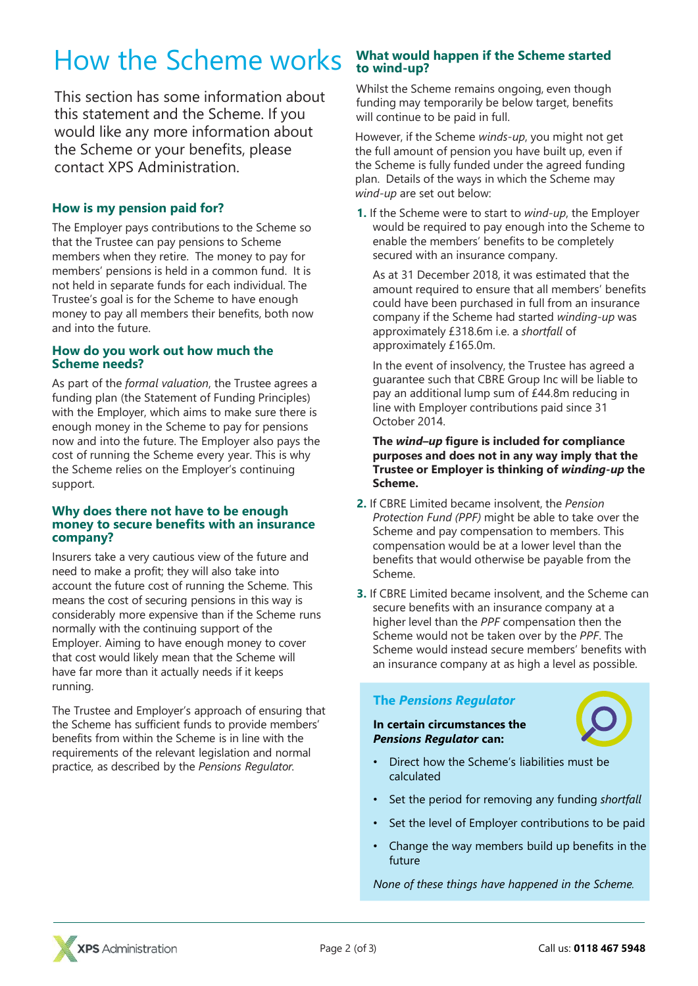# How the Scheme works

This section has some information about this statement and the Scheme. If you would like any more information about the Scheme or your benefits, please contact XPS Administration.

# **How is my pension paid for?**

The Employer pays contributions to the Scheme so that the Trustee can pay pensions to Scheme members when they retire. The money to pay for members' pensions is held in a common fund. It is not held in separate funds for each individual. The Trustee's goal is for the Scheme to have enough money to pay all members their benefits, both now and into the future.

#### **How do you work out how much the Scheme needs?**

As part of the *formal valuation*, the Trustee agrees a funding plan (the Statement of Funding Principles) with the Employer, which aims to make sure there is enough money in the Scheme to pay for pensions now and into the future. The Employer also pays the cost of running the Scheme every year. This is why the Scheme relies on the Employer's continuing support.

#### **Why does there not have to be enough money to secure benefits with an insurance company?**

Insurers take a very cautious view of the future and need to make a profit; they will also take into account the future cost of running the Scheme. This means the cost of securing pensions in this way is considerably more expensive than if the Scheme runs normally with the continuing support of the Employer. Aiming to have enough money to cover that cost would likely mean that the Scheme will have far more than it actually needs if it keeps running.

The Trustee and Employer's approach of ensuring that the Scheme has sufficient funds to provide members' benefits from within the Scheme is in line with the requirements of the relevant legislation and normal practice, as described by the *Pensions Regulator.* 

# **What would happen if the Scheme started to wind-up?**

Whilst the Scheme remains ongoing, even though funding may temporarily be below target, benefits will continue to be paid in full.

However, if the Scheme *winds-up*, you might not get the full amount of pension you have built up, even if the Scheme is fully funded under the agreed funding plan. Details of the ways in which the Scheme may *wind-up* are set out below:

**1.** If the Scheme were to start to *wind-up*, the Employer would be required to pay enough into the Scheme to enable the members' benefits to be completely secured with an insurance company.

As at 31 December 2018, it was estimated that the amount required to ensure that all members' benefits could have been purchased in full from an insurance company if the Scheme had started *winding-up* was approximately £318.6m i.e. a *shortfall* of approximately £165.0m.

In the event of insolvency, the Trustee has agreed a guarantee such that CBRE Group Inc will be liable to pay an additional lump sum of £44.8m reducing in line with Employer contributions paid since 31 October 2014.

**The** *wind–up* **figure is included for compliance purposes and does not in any way imply that the Trustee or Employer is thinking of** *winding-up* **the Scheme.**

- **2.** If CBRE Limited became insolvent, the *Pension Protection Fund (PPF)* might be able to take over the Scheme and pay compensation to members. This compensation would be at a lower level than the benefits that would otherwise be payable from the Scheme.
- **3.** If CBRE Limited became insolvent, and the Scheme can secure benefits with an insurance company at a higher level than the *PPF* compensation then the Scheme would not be taken over by the *PPF*. The Scheme would instead secure members' benefits with an insurance company at as high a level as possible.

### **The** *Pensions Regulator*

#### **In certain circumstances the** *Pensions Regulator* **can:**



- Direct how the Scheme's liabilities must be calculated
- Set the period for removing any funding *shortfall*
- Set the level of Employer contributions to be paid
- Change the way members build up benefits in the future

*None of these things have happened in the Scheme.*